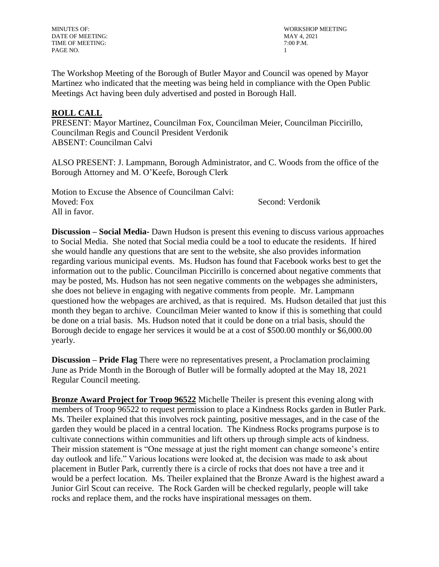DATE OF MEETING: MAY 4, 2021 TIME OF MEETING:  $7:00$  P.M. PAGE NO. 2008 2009 12:00:00 12:00:00 12:00:00 12:00:00 12:00:00 12:00:00 12:00:00 12:00:00 12:00:00 12:00:00 12:00:00 12:00:00 12:00:00 12:00:00 12:00:00 12:00:00 12:00:00 12:00:00 12:00:00 12:00:00 12:00:00 12:00:00 12:00

MINUTES OF: WORKSHOP MEETING

The Workshop Meeting of the Borough of Butler Mayor and Council was opened by Mayor Martinez who indicated that the meeting was being held in compliance with the Open Public Meetings Act having been duly advertised and posted in Borough Hall.

## **ROLL CALL**

PRESENT: Mayor Martinez, Councilman Fox, Councilman Meier, Councilman Piccirillo, Councilman Regis and Council President Verdonik ABSENT: Councilman Calvi

ALSO PRESENT: J. Lampmann, Borough Administrator, and C. Woods from the office of the Borough Attorney and M. O'Keefe, Borough Clerk

Motion to Excuse the Absence of Councilman Calvi: Moved: Fox Second: Verdonik All in favor.

**Discussion – Social Media-** Dawn Hudson is present this evening to discuss various approaches to Social Media. She noted that Social media could be a tool to educate the residents. If hired she would handle any questions that are sent to the website, she also provides information regarding various municipal events. Ms. Hudson has found that Facebook works best to get the information out to the public. Councilman Piccirillo is concerned about negative comments that may be posted, Ms. Hudson has not seen negative comments on the webpages she administers, she does not believe in engaging with negative comments from people. Mr. Lampmann questioned how the webpages are archived, as that is required. Ms. Hudson detailed that just this month they began to archive. Councilman Meier wanted to know if this is something that could be done on a trial basis. Ms. Hudson noted that it could be done on a trial basis, should the Borough decide to engage her services it would be at a cost of \$500.00 monthly or \$6,000.00 yearly.

**Discussion – Pride Flag** There were no representatives present, a Proclamation proclaiming June as Pride Month in the Borough of Butler will be formally adopted at the May 18, 2021 Regular Council meeting.

**Bronze Award Project for Troop 96522** Michelle Theiler is present this evening along with members of Troop 96522 to request permission to place a Kindness Rocks garden in Butler Park. Ms. Theiler explained that this involves rock painting, positive messages, and in the case of the garden they would be placed in a central location. The Kindness Rocks programs purpose is to cultivate connections within communities and lift others up through simple acts of kindness. Their mission statement is "One message at just the right moment can change someone's entire day outlook and life." Various locations were looked at, the decision was made to ask about placement in Butler Park, currently there is a circle of rocks that does not have a tree and it would be a perfect location. Ms. Theiler explained that the Bronze Award is the highest award a Junior Girl Scout can receive. The Rock Garden will be checked regularly, people will take rocks and replace them, and the rocks have inspirational messages on them.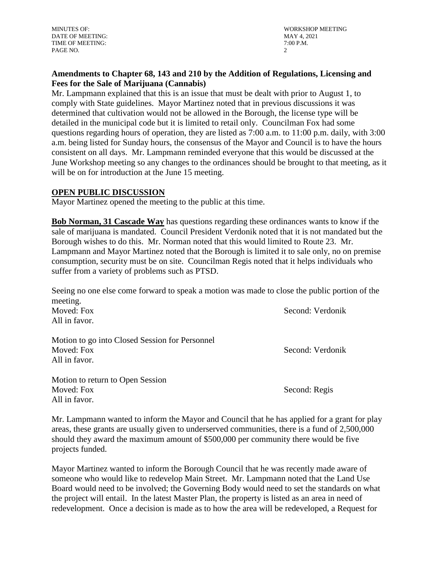DATE OF MEETING: MAY 4, 2021 TIME OF MEETING:  $7:00$  P.M. PAGE NO. 2

MINUTES OF: WORKSHOP MEETING

## **Amendments to Chapter 68, 143 and 210 by the Addition of Regulations, Licensing and Fees for the Sale of Marijuana (Cannabis)**

Mr. Lampmann explained that this is an issue that must be dealt with prior to August 1, to comply with State guidelines. Mayor Martinez noted that in previous discussions it was determined that cultivation would not be allowed in the Borough, the license type will be detailed in the municipal code but it is limited to retail only. Councilman Fox had some questions regarding hours of operation, they are listed as 7:00 a.m. to 11:00 p.m. daily, with 3:00 a.m. being listed for Sunday hours, the consensus of the Mayor and Council is to have the hours consistent on all days. Mr. Lampmann reminded everyone that this would be discussed at the June Workshop meeting so any changes to the ordinances should be brought to that meeting, as it will be on for introduction at the June 15 meeting.

## **OPEN PUBLIC DISCUSSION**

Mayor Martinez opened the meeting to the public at this time.

**Bob Norman, 31 Cascade Way** has questions regarding these ordinances wants to know if the sale of marijuana is mandated. Council President Verdonik noted that it is not mandated but the Borough wishes to do this. Mr. Norman noted that this would limited to Route 23. Mr. Lampmann and Mayor Martinez noted that the Borough is limited it to sale only, no on premise consumption, security must be on site. Councilman Regis noted that it helps individuals who suffer from a variety of problems such as PTSD.

Seeing no one else come forward to speak a motion was made to close the public portion of the meeting.

All in favor.

Motion to go into Closed Session for Personnel Moved: Fox Second: Verdonik All in favor.

Motion to return to Open Session Moved: Fox Second: Regis All in favor.

Mr. Lampmann wanted to inform the Mayor and Council that he has applied for a grant for play areas, these grants are usually given to underserved communities, there is a fund of 2,500,000 should they award the maximum amount of \$500,000 per community there would be five projects funded.

Mayor Martinez wanted to inform the Borough Council that he was recently made aware of someone who would like to redevelop Main Street. Mr. Lampmann noted that the Land Use Board would need to be involved; the Governing Body would need to set the standards on what the project will entail. In the latest Master Plan, the property is listed as an area in need of redevelopment. Once a decision is made as to how the area will be redeveloped, a Request for

Moved: Fox Second: Verdonik